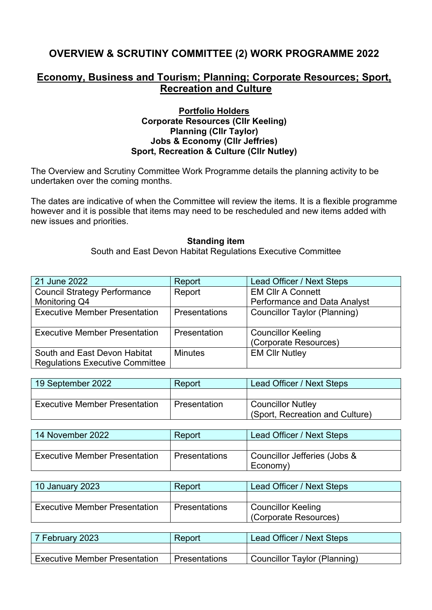## **OVERVIEW & SCRUTINY COMMITTEE (2) WORK PROGRAMME 2022**

### **Economy, Business and Tourism; Planning; Corporate Resources; Sport, Recreation and Culture**

### **Portfolio Holders Corporate Resources (Cllr Keeling) Planning (Cllr Taylor) Jobs & Economy (Cllr Jeffries) Sport, Recreation & Culture (Cllr Nutley)**

The Overview and Scrutiny Committee Work Programme details the planning activity to be undertaken over the coming months.

The dates are indicative of when the Committee will review the items. It is a flexible programme however and it is possible that items may need to be rescheduled and new items added with new issues and priorities.

#### **Standing item**

South and East Devon Habitat Regulations Executive Committee

| 21 June 2022                           | Report               | Lead Officer / Next Steps    |
|----------------------------------------|----------------------|------------------------------|
| <b>Council Strategy Performance</b>    | Report               | <b>EM CIIr A Connett</b>     |
| Monitoring Q4                          |                      | Performance and Data Analyst |
| <b>Executive Member Presentation</b>   | <b>Presentations</b> | Councillor Taylor (Planning) |
|                                        |                      |                              |
| <b>Executive Member Presentation</b>   | Presentation         | <b>Councillor Keeling</b>    |
|                                        |                      | (Corporate Resources)        |
| South and East Devon Habitat           | <b>Minutes</b>       | <b>EM CIIr Nutley</b>        |
| <b>Regulations Executive Committee</b> |                      |                              |

| 19 September 2022                    | Report              | Lead Officer / Next Steps       |
|--------------------------------------|---------------------|---------------------------------|
|                                      |                     |                                 |
| <b>Executive Member Presentation</b> | <b>Presentation</b> | <b>Councillor Nutley</b>        |
|                                      |                     | (Sport, Recreation and Culture) |

| 14 November 2022                     | Report               | Lead Officer / Next Steps                |
|--------------------------------------|----------------------|------------------------------------------|
|                                      |                      |                                          |
| <b>Executive Member Presentation</b> | <b>Presentations</b> | Councillor Jefferies (Jobs &<br>Economy) |

| 10 January 2023                      | Report               | Lead Officer / Next Steps          |
|--------------------------------------|----------------------|------------------------------------|
|                                      |                      |                                    |
| <b>Executive Member Presentation</b> | <b>Presentations</b> | Councillor Keeling                 |
|                                      |                      | <sup> </sup> (Corporate Resources) |

| 7 February 2023                      | Report        | Lead Officer / Next Steps    |
|--------------------------------------|---------------|------------------------------|
|                                      |               |                              |
| <b>Executive Member Presentation</b> | Presentations | Councillor Taylor (Planning) |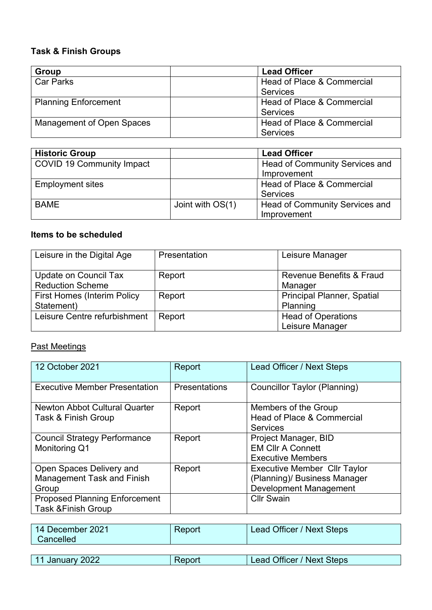### **Task & Finish Groups**

| Group                       | <b>Lead Officer</b>        |
|-----------------------------|----------------------------|
| Car Parks                   | Head of Place & Commercial |
|                             | <b>Services</b>            |
| <b>Planning Enforcement</b> | Head of Place & Commercial |
|                             | <b>Services</b>            |
| Management of Open Spaces   | Head of Place & Commercial |
|                             | <b>Services</b>            |

| <b>Historic Group</b>            |                  | <b>Lead Officer</b>                   |
|----------------------------------|------------------|---------------------------------------|
| <b>COVID 19 Community Impact</b> |                  | Head of Community Services and        |
|                                  |                  | Improvement                           |
| <b>Employment sites</b>          |                  | Head of Place & Commercial            |
|                                  |                  | <b>Services</b>                       |
| <b>BAME</b>                      | Joint with OS(1) | <b>Head of Community Services and</b> |
|                                  |                  | Improvement                           |

### **Items to be scheduled**

| Leisure in the Digital Age         | Presentation | Leisure Manager                     |
|------------------------------------|--------------|-------------------------------------|
| Update on Council Tax              | Report       | <b>Revenue Benefits &amp; Fraud</b> |
| <b>Reduction Scheme</b>            |              | Manager                             |
| <b>First Homes (Interim Policy</b> | Report       | <b>Principal Planner, Spatial</b>   |
| Statement)                         |              | Planning                            |
| Leisure Centre refurbishment       | Report       | <b>Head of Operations</b>           |
|                                    |              | Leisure Manager                     |

# Past Meetings

| 12 October 2021                                             | Report        | Lead Officer / Next Steps                          |
|-------------------------------------------------------------|---------------|----------------------------------------------------|
| <b>Executive Member Presentation</b>                        | Presentations | Councillor Taylor (Planning)                       |
| <b>Newton Abbot Cultural Quarter</b><br>Task & Finish Group | Report        | Members of the Group<br>Head of Place & Commercial |
|                                                             |               | <b>Services</b>                                    |
| <b>Council Strategy Performance</b>                         | Report        | Project Manager, BID                               |
| Monitoring Q1                                               |               | <b>EM Cllr A Connett</b>                           |
|                                                             |               | <b>Executive Members</b>                           |
| Open Spaces Delivery and                                    | Report        | <b>Executive Member Cllr Taylor</b>                |
| <b>Management Task and Finish</b>                           |               | (Planning)/ Business Manager                       |
| Group                                                       |               | <b>Development Management</b>                      |
| <b>Proposed Planning Enforcement</b>                        |               | <b>Cllr Swain</b>                                  |
| <b>Task &amp;Finish Group</b>                               |               |                                                    |

| 14 December 2021<br>Cancelled | Report | Lead Officer / Next Steps |
|-------------------------------|--------|---------------------------|
|                               |        |                           |

| 11 January 2022 | Lead Officer / Next Steps |
|-----------------|---------------------------|